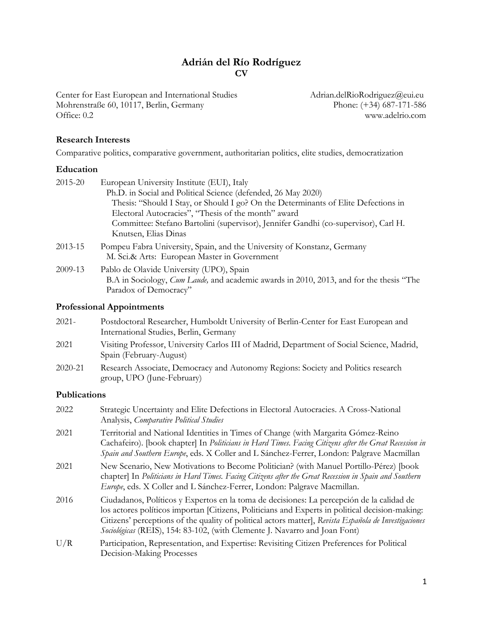## **Adrián del Río Rodríguez CV**

Center for East European and International Studies Adrian.delRioRodriguez@eui.eu<br>Mohrenstraße 60, 10117, Berlin, Germany Phone: (+34) 687-171-586 Mohrenstraße 60, 10117, Berlin, Germany Office: 0.2 www.adelrio.com

### **Research Interests**

Comparative politics, comparative government, authoritarian politics, elite studies, democratization

### **Education**

| 2015-20 | European University Institute (EUI), Italy                                                                                                                           |
|---------|----------------------------------------------------------------------------------------------------------------------------------------------------------------------|
|         | Ph.D. in Social and Political Science (defended, 26 May 2020)                                                                                                        |
|         | Thesis: "Should I Stay, or Should I go? On the Determinants of Elite Defections in                                                                                   |
|         | Electoral Autocracies", "Thesis of the month" award                                                                                                                  |
|         | Committee: Stefano Bartolini (supervisor), Jennifer Gandhi (co-supervisor), Carl H.<br>Knutsen, Elias Dinas                                                          |
| 2013-15 | Pompeu Fabra University, Spain, and the University of Konstanz, Germany<br>M. Sci.& Arts: European Master in Government                                              |
| 2009-13 | Pablo de Olavide University (UPO), Spain<br>B.A in Sociology, <i>Cum Laude</i> , and academic awards in 2010, 2013, and for the thesis "The<br>Paradox of Democracy" |
|         |                                                                                                                                                                      |

## **Professional Appointments**

| 2021-   | Postdoctoral Researcher, Humboldt University of Berlin-Center for East European and                                   |
|---------|-----------------------------------------------------------------------------------------------------------------------|
|         | International Studies, Berlin, Germany                                                                                |
| 2021    | Visiting Professor, University Carlos III of Madrid, Department of Social Science, Madrid,<br>Spain (February-August) |
| 2020-21 | Research Associate, Democracy and Autonomy Regions: Society and Politics research<br>group, UPO (June-February)       |

### **Publications**

| 2022 | Strategic Uncertainty and Elite Defections in Electoral Autocracies. A Cross-National<br>Analysis, Comparative Political Studies                                                                                                                                                                                                                                                    |
|------|-------------------------------------------------------------------------------------------------------------------------------------------------------------------------------------------------------------------------------------------------------------------------------------------------------------------------------------------------------------------------------------|
| 2021 | Territorial and National Identities in Times of Change (with Margarita Gómez-Reino<br>Cachafeiro). [book chapter] In Politicians in Hard Times. Facing Citizens after the Great Recession in<br>Spain and Southern Europe, eds. X Coller and L Sánchez-Ferrer, London: Palgrave Macmillan                                                                                           |
| 2021 | New Scenario, New Motivations to Become Politician? (with Manuel Portillo-Pérez) [book<br>chapter] In Politicians in Hard Times. Facing Citizens after the Great Recession in Spain and Southern<br>Europe, eds. X Coller and L Sánchez-Ferrer, London: Palgrave Macmillan.                                                                                                         |
| 2016 | Ciudadanos, Políticos y Expertos en la toma de decisiones: La percepción de la calidad de<br>los actores políticos importan [Citizens, Politicians and Experts in political decision-making:<br>Citizens' perceptions of the quality of political actors matter], Revista Española de Investigaciones<br>Sociológicas (REIS), 154: 83-102, (with Clemente J. Navarro and Joan Font) |
| U/R  | Participation, Representation, and Expertise: Revisiting Citizen Preferences for Political<br>Decision-Making Processes                                                                                                                                                                                                                                                             |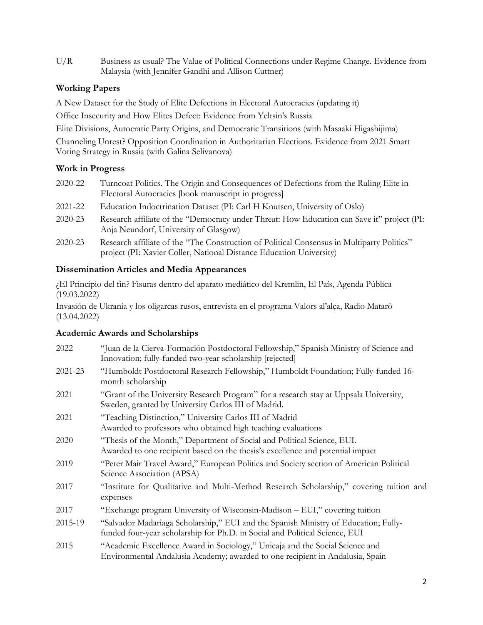U/R Business as usual? The Value of Political Connections under Regime Change. Evidence from Malaysia (with Jennifer Gandhi and Allison Cuttner)

## **Working Papers**

A New Dataset for the Study of Elite Defections in Electoral Autocracies (updating it)

Office Insecurity and How Elites Defect: Evidence from Yeltsin's Russia

Elite Divisions, Autocratic Party Origins, and Democratic Transitions (with Masaaki Higashijima)

Channeling Unrest? Opposition Coordination in Authoritarian Elections. Evidence from 2021 Smart Voting Strategy in Russia (with Galina Selivanova)

# **Work in Progress**

- 2020-22 Turncoat Politics. The Origin and Consequences of Defections from the Ruling Elite in Electoral Autocracies [book manuscript in progress]
- 2021-22 Education Indoctrination Dataset (PI: Carl H Knutsen, University of Oslo)
- 2020-23 Research affiliate of the "Democracy under Threat: How Education can Save it" project (PI: Anja Neundorf, University of Glasgow)
- 2020-23 Research affiliate of the "The Construction of Political Consensus in Multiparty Politics" project (PI: Xavier Coller, National Distance Education University)

# **Dissemination Articles and Media Appearances**

¿El Principio del fin? Fisuras dentro del aparato mediático del Kremlin, El País, Agenda Pública (19.03.2022)

Invasión de Ukrania y los oligarcas rusos, entrevista en el programa Valors al'alça, Radio Matarò (13.04.2022)

# **Academic Awards and Scholarships**

| 2022    | "Juan de la Cierva-Formación Postdoctoral Fellowship," Spanish Ministry of Science and<br>Innovation; fully-funded two-year scholarship [rejected]                 |
|---------|--------------------------------------------------------------------------------------------------------------------------------------------------------------------|
| 2021-23 | "Humboldt Postdoctoral Research Fellowship," Humboldt Foundation; Fully-funded 16-<br>month scholarship                                                            |
| 2021    | "Grant of the University Research Program" for a research stay at Uppsala University,<br>Sweden, granted by University Carlos III of Madrid.                       |
| 2021    | "Teaching Distinction," University Carlos III of Madrid<br>Awarded to professors who obtained high teaching evaluations                                            |
| 2020    | "Thesis of the Month," Department of Social and Political Science, EUI.<br>Awarded to one recipient based on the thesis's excellence and potential impact          |
| 2019    | "Peter Mair Travel Award," European Politics and Society section of American Political<br>Science Association (APSA)                                               |
| 2017    | "Institute for Qualitative and Multi-Method Research Scholarship," covering tuition and<br>expenses                                                                |
| 2017    | "Exchange program University of Wisconsin-Madison - EUI," covering tuition                                                                                         |
| 2015-19 | "Salvador Madariaga Scholarship," EUI and the Spanish Ministry of Education; Fully-<br>funded four-year scholarship for Ph.D. in Social and Political Science, EUI |
| 2015    | "Academic Excellence Award in Sociology," Unicaja and the Social Science and<br>Environmental Andalusia Academy; awarded to one recipient in Andalusia, Spain      |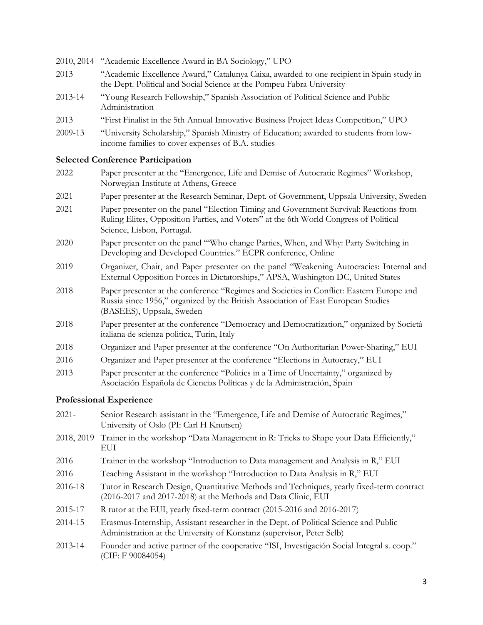- 2010, 2014 "Academic Excellence Award in BA Sociology," UPO
- 2013 "Academic Excellence Award," Catalunya Caixa, awarded to one recipient in Spain study in the Dept. Political and Social Science at the Pompeu Fabra University
- 2013-14 "Young Research Fellowship," Spanish Association of Political Science and Public Administration
- 2013 "First Finalist in the 5th Annual Innovative Business Project Ideas Competition," UPO
- 2009-13 "University Scholarship," Spanish Ministry of Education; awarded to students from lowincome families to cover expenses of B.A. studies

#### **Selected Conference Participation**

- 2022 Paper presenter at the "Emergence, Life and Demise of Autocratic Regimes" Workshop, Norwegian Institute at Athens, Greece
- 2021 Paper presenter at the Research Seminar, Dept. of Government, Uppsala University, Sweden
- 2021 Paper presenter on the panel "Election Timing and Government Survival: Reactions from Ruling Elites, Opposition Parties, and Voters" at the 6th World Congress of Political Science, Lisbon, Portugal.
- 2020 Paper presenter on the panel "'Who change Parties, When, and Why: Party Switching in Developing and Developed Countries." ECPR conference, Online
- 2019 Organizer, Chair, and Paper presenter on the panel "Weakening Autocracies: Internal and External Opposition Forces in Dictatorships," APSA, Washington DC, United States
- 2018 Paper presenter at the conference "Regimes and Societies in Conflict: Eastern Europe and Russia since 1956," organized by the British Association of East European Studies (BASEES), Uppsala, Sweden
- 2018 Paper presenter at the conference "Democracy and Democratization," organized by Società italiana de scienza politica, Turin, Italy
- 2018 Organizer and Paper presenter at the conference "On Authoritarian Power-Sharing," EUI
- 2016 Organizer and Paper presenter at the conference "Elections in Autocracy," EUI
- 2013 Paper presenter at the conference "Politics in a Time of Uncertainty," organized by Asociación Española de Ciencias Políticas y de la Administración, Spain

### **Professional Experience**

- 2021- Senior Research assistant in the "Emergence, Life and Demise of Autocratic Regimes," University of Oslo (PI: Carl H Knutsen)
- 2018, 2019 Trainer in the workshop "Data Management in R: Tricks to Shape your Data Efficiently," EUI
- 2016 Trainer in the workshop "Introduction to Data management and Analysis in R," EUI
- 2016 Teaching Assistant in the workshop "Introduction to Data Analysis in R," EUI
- 2016-18 Tutor in Research Design, Quantitative Methods and Techniques, yearly fixed-term contract (2016-2017 and 2017-2018) at the Methods and Data Clinic, EUI
- 2015-17 R tutor at the EUI, yearly fixed-term contract (2015-2016 and 2016-2017)
- 2014-15 Erasmus-Internship, Assistant researcher in the Dept. of Political Science and Public Administration at the University of Konstanz (supervisor, Peter Selb)
- 2013-14 Founder and active partner of the cooperative "ISI, Investigación Social Integral s. coop." (CIF: F 90084054)